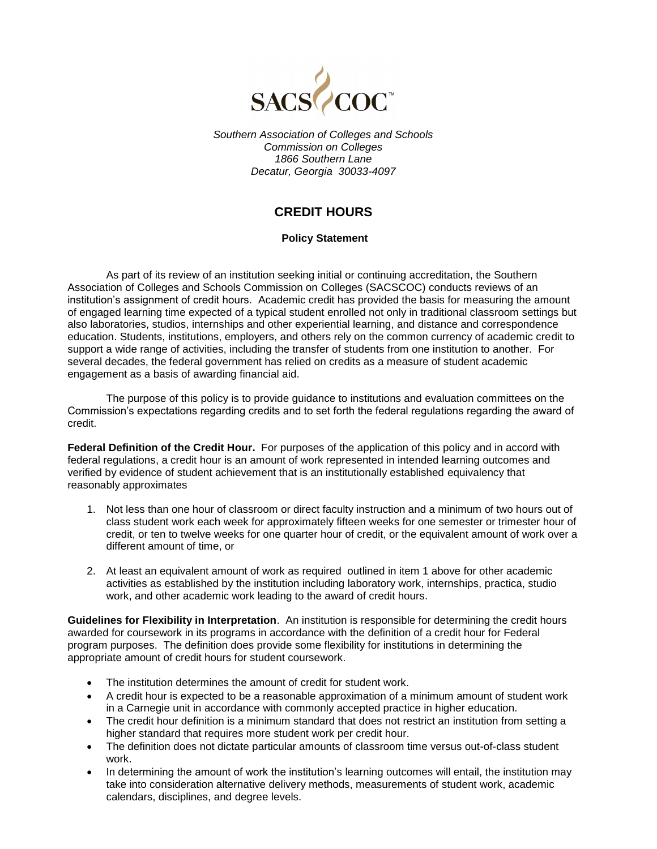

*Southern Association of Colleges and Schools Commission on Colleges 1866 Southern Lane Decatur, Georgia 30033-4097* 

## **CREDIT HOURS**

## **Policy Statement**

As part of its review of an institution seeking initial or continuing accreditation, the Southern Association of Colleges and Schools Commission on Colleges (SACSCOC) conducts reviews of an institution's assignment of credit hours. Academic credit has provided the basis for measuring the amount of engaged learning time expected of a typical student enrolled not only in traditional classroom settings but also laboratories, studios, internships and other experiential learning, and distance and correspondence education. Students, institutions, employers, and others rely on the common currency of academic credit to support a wide range of activities, including the transfer of students from one institution to another. For several decades, the federal government has relied on credits as a measure of student academic engagement as a basis of awarding financial aid.

The purpose of this policy is to provide guidance to institutions and evaluation committees on the Commission's expectations regarding credits and to set forth the federal regulations regarding the award of credit.

**Federal Definition of the Credit Hour.** For purposes of the application of this policy and in accord with federal regulations, a credit hour is an amount of work represented in intended learning outcomes and verified by evidence of student achievement that is an institutionally established equivalency that reasonably approximates

- 1. Not less than one hour of classroom or direct faculty instruction and a minimum of two hours out of class student work each week for approximately fifteen weeks for one semester or trimester hour of credit, or ten to twelve weeks for one quarter hour of credit, or the equivalent amount of work over a different amount of time, or
- 2. At least an equivalent amount of work as required outlined in item 1 above for other academic activities as established by the institution including laboratory work, internships, practica, studio work, and other academic work leading to the award of credit hours.

**Guidelines for Flexibility in Interpretation**. An institution is responsible for determining the credit hours awarded for coursework in its programs in accordance with the definition of a credit hour for Federal program purposes. The definition does provide some flexibility for institutions in determining the appropriate amount of credit hours for student coursework.

- The institution determines the amount of credit for student work.
- A credit hour is expected to be a reasonable approximation of a minimum amount of student work in a Carnegie unit in accordance with commonly accepted practice in higher education.
- The credit hour definition is a minimum standard that does not restrict an institution from setting a higher standard that requires more student work per credit hour.
- The definition does not dictate particular amounts of classroom time versus out-of-class student work.
- In determining the amount of work the institution's learning outcomes will entail, the institution may take into consideration alternative delivery methods, measurements of student work, academic calendars, disciplines, and degree levels.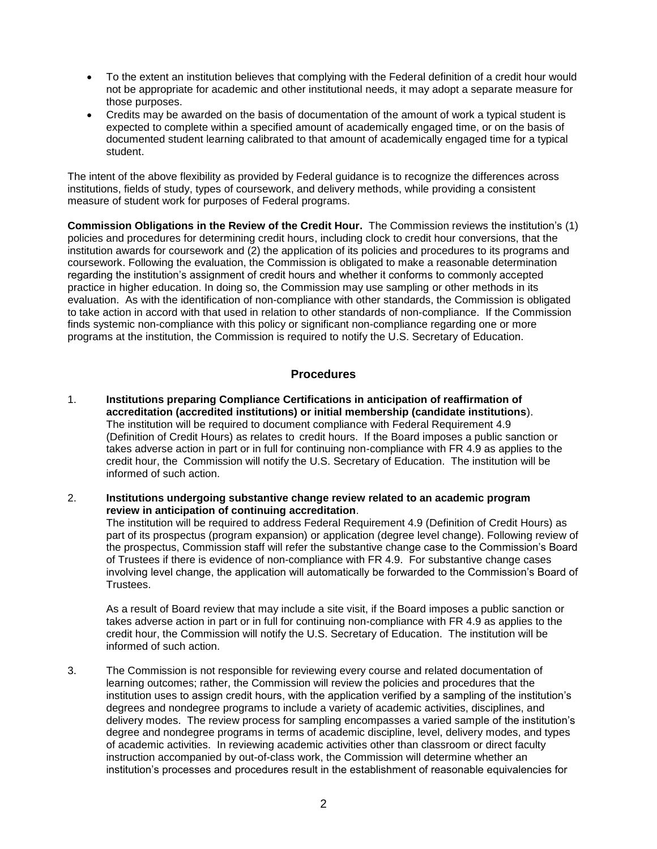- To the extent an institution believes that complying with the Federal definition of a credit hour would not be appropriate for academic and other institutional needs, it may adopt a separate measure for those purposes.
- Credits may be awarded on the basis of documentation of the amount of work a typical student is expected to complete within a specified amount of academically engaged time, or on the basis of documented student learning calibrated to that amount of academically engaged time for a typical student.

The intent of the above flexibility as provided by Federal guidance is to recognize the differences across institutions, fields of study, types of coursework, and delivery methods, while providing a consistent measure of student work for purposes of Federal programs.

**Commission Obligations in the Review of the Credit Hour.** The Commission reviews the institution's (1) policies and procedures for determining credit hours, including clock to credit hour conversions, that the institution awards for coursework and (2) the application of its policies and procedures to its programs and coursework. Following the evaluation, the Commission is obligated to make a reasonable determination regarding the institution's assignment of credit hours and whether it conforms to commonly accepted practice in higher education. In doing so, the Commission may use sampling or other methods in its evaluation. As with the identification of non-compliance with other standards, the Commission is obligated to take action in accord with that used in relation to other standards of non-compliance. If the Commission finds systemic non-compliance with this policy or significant non-compliance regarding one or more programs at the institution, the Commission is required to notify the U.S. Secretary of Education.

## **Procedures**

- 1. **Institutions preparing Compliance Certifications in anticipation of reaffirmation of accreditation (accredited institutions) or initial membership (candidate institutions**). The institution will be required to document compliance with Federal Requirement 4.9 (Definition of Credit Hours) as relates to credit hours. If the Board imposes a public sanction or takes adverse action in part or in full for continuing non-compliance with FR 4.9 as applies to the credit hour, the Commission will notify the U.S. Secretary of Education. The institution will be informed of such action.
- 2. **Institutions undergoing substantive change review related to an academic program review in anticipation of continuing accreditation**.

The institution will be required to address Federal Requirement 4.9 (Definition of Credit Hours) as part of its prospectus (program expansion) or application (degree level change). Following review of the prospectus, Commission staff will refer the substantive change case to the Commission's Board of Trustees if there is evidence of non-compliance with FR 4.9. For substantive change cases involving level change, the application will automatically be forwarded to the Commission's Board of Trustees.

As a result of Board review that may include a site visit, if the Board imposes a public sanction or takes adverse action in part or in full for continuing non-compliance with FR 4.9 as applies to the credit hour, the Commission will notify the U.S. Secretary of Education. The institution will be informed of such action.

3. The Commission is not responsible for reviewing every course and related documentation of learning outcomes; rather, the Commission will review the policies and procedures that the institution uses to assign credit hours, with the application verified by a sampling of the institution's degrees and nondegree programs to include a variety of academic activities, disciplines, and delivery modes. The review process for sampling encompasses a varied sample of the institution's degree and nondegree programs in terms of academic discipline, level, delivery modes, and types of academic activities. In reviewing academic activities other than classroom or direct faculty instruction accompanied by out-of-class work, the Commission will determine whether an institution's processes and procedures result in the establishment of reasonable equivalencies for